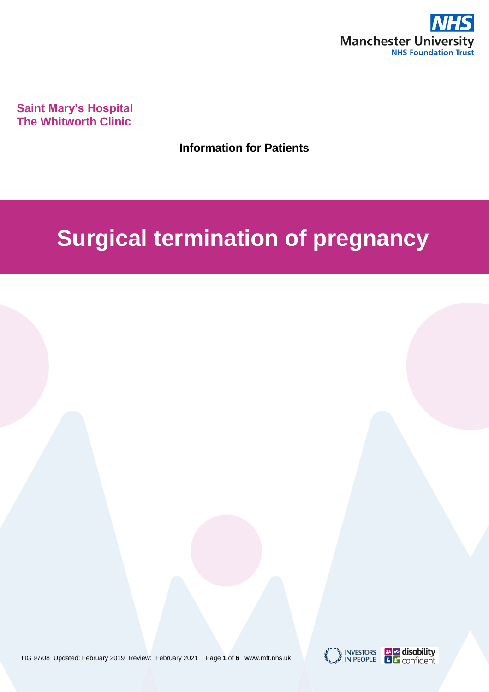

**Saint Mary's Hospital The Whitworth Clinic**

**Information for Patients**

# **Surgical termination of pregnancy**

TIG 97/08 Updated: February 2019 Review: February 2021 Page **1** of **6** www.mft.nhs.uk



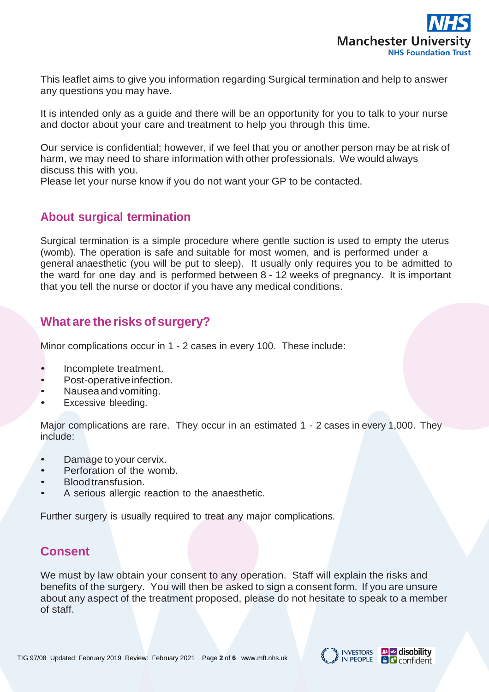

This leaflet aims to give you information regarding Surgical termination and help to answer any questions you may have.

It is intended only as a guide and there will be an opportunity for you to talk to your nurse and doctor about your care and treatment to help you through this time.

Our service is confidential; however, if we feel that you or another person may be at risk of harm, we may need to share information with other professionals. We would always discuss this with you.

Please let your nurse know if you do not want your GP to be contacted.

## **About surgical termination**

Surgical termination is a simple procedure where gentle suction is used to empty the uterus (womb). The operation is safe and suitable for most women, and is performed under a general anaesthetic (you will be put to sleep). It usually only requires you to be admitted to the ward for one day and is performed between 8 - 12 weeks of pregnancy. It is important that you tell the nurse or doctor if you have any medical conditions.

# **What are the risks of surgery?**

Minor complications occur in 1 - 2 cases in every 100. These include:

- Incomplete treatment.
- Post-operative infection.
- Nauseaand vomiting.
- Excessive bleeding.

Major complications are rare. They occur in an estimated 1 - 2 cases in every 1,000. They include:

- Damage to your cervix.
- Perforation of the womb.
- Bloodtransfusion.
- A serious allergic reaction to the anaesthetic.

Further surgery is usually required to treat any major complications.

## **Consent**

We must by law obtain your consent to any operation. Staff will explain the risks and benefits of the surgery. You will then be asked to sign a consent form. If you are unsure about any aspect of the treatment proposed, please do not hesitate to speak to a member of staff.

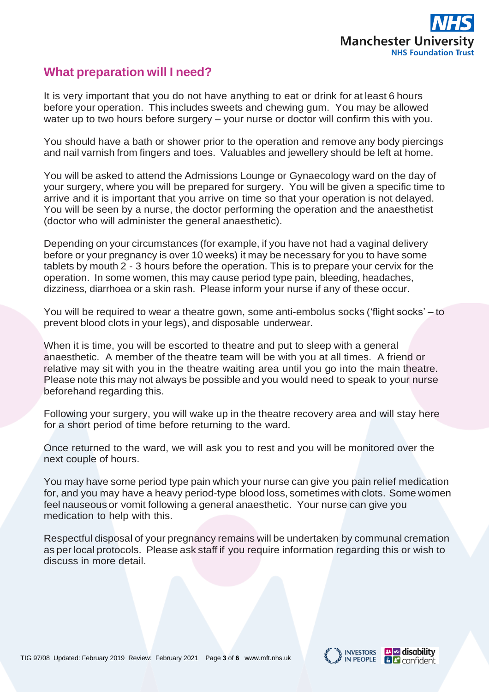

## **What preparation will I need?**

It is very important that you do not have anything to eat or drink for at least 6 hours before your operation. This includes sweets and chewing gum. You may be allowed water up to two hours before surgery – your nurse or doctor will confirm this with you.

You should have a bath or shower prior to the operation and remove any body piercings and nail varnish from fingers and toes. Valuables and jewellery should be left at home.

You will be asked to attend the Admissions Lounge or Gynaecology ward on the day of your surgery, where you will be prepared for surgery. You will be given a specific time to arrive and it is important that you arrive on time so that your operation is not delayed. You will be seen by a nurse, the doctor performing the operation and the anaesthetist (doctor who will administer the general anaesthetic).

Depending on your circumstances (for example, if you have not had a vaginal delivery before or your pregnancy is over 10 weeks) it may be necessary for you to have some tablets by mouth 2 - 3 hours before the operation. This is to prepare your cervix for the operation. In some women, this may cause period type pain, bleeding, headaches, dizziness, diarrhoea or a skin rash. Please inform your nurse if any of these occur.

You will be required to wear a theatre gown, some anti-embolus socks ('flight socks' – to prevent blood clots in your legs), and disposable underwear.

When it is time, you will be escorted to theatre and put to sleep with a general anaesthetic. A member of the theatre team will be with you at all times. A friend or relative may sit with you in the theatre waiting area until you go into the main theatre. Please note this may not always be possible and you would need to speak to your nurse beforehand regarding this.

Following your surgery, you will wake up in the theatre recovery area and will stay here for a short period of time before returning to the ward.

Once returned to the ward, we will ask you to rest and you will be monitored over the next couple of hours.

You may have some period type pain which your nurse can give you pain relief medication for, and you may have a heavy period-type blood loss, sometimes with clots. Some women feel nauseous or vomit following a general anaesthetic. Your nurse can give you medication to help with this.

Respectful disposal of your pregnancy remains will be undertaken by communal cremation as per local protocols. Please ask staff if you require information regarding this or wish to discuss in more detail.

TIG 97/08 Updated: February 2019 Review: February 2021 Page **3** of **6** www.mft.nhs.uk



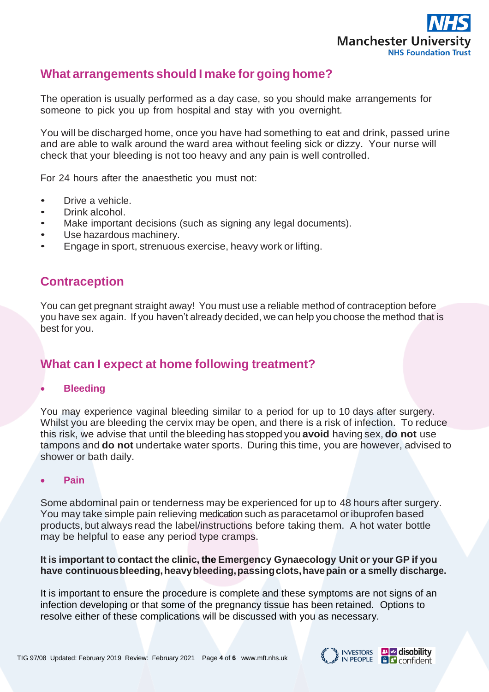

## **What arrangements should I make for going home?**

The operation is usually performed as a day case, so you should make arrangements for someone to pick you up from hospital and stay with you overnight.

You will be discharged home, once you have had something to eat and drink, passed urine and are able to walk around the ward area without feeling sick or dizzy. Your nurse will check that your bleeding is not too heavy and any pain is well controlled.

For 24 hours after the anaesthetic you must not:

- Drive a vehicle.
- Drink alcohol.
- Make important decisions (such as signing any legal documents).
- Use hazardous machinery.
- Engage in sport, strenuous exercise, heavy work or lifting.

## **Contraception**

You can get pregnant straight away! You must use a reliable method of contraception before you have sex again. If you haven't already decided, we can help you choose the method that is best for you.

# **What can I expect at home following treatment?**

#### **Bleeding**

You may experience vaginal bleeding similar to a period for up to 10 days after surgery. Whilst you are bleeding the cervix may be open, and there is a risk of infection. To reduce this risk, we advise that until the bleeding has stopped you **avoid** having sex, **do not** use tampons and **do not** undertake water sports. During this time, you are however, advised to shower or bath daily.

#### **Pain**

Some abdominal pain or tenderness may be experienced for up to 48 hours after surgery. You may take simple pain relieving medication such as paracetamol or ibuprofen based products, but always read the label/instructions before taking them. A hot water bottle may be helpful to ease any period type cramps.

#### **It is important to contact the clinic, the Emergency Gynaecology Unit or your GP if you have continuousbleeding,heavybleeding,passingclots,havepain or a smelly discharge.**

It is important to ensure the procedure is complete and these symptoms are not signs of an infection developing or that some of the pregnancy tissue has been retained. Options to resolve either of these complications will be discussed with you as necessary.

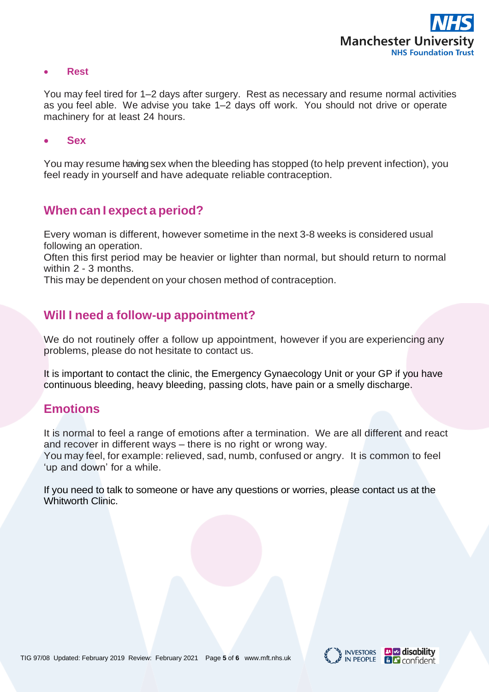

**Rest**

You may feel tired for 1–2 days after surgery. Rest as necessary and resume normal activities as you feel able. We advise you take 1–2 days off work. You should not drive or operate machinery for at least 24 hours.

**Sex**

You may resume having sex when the bleeding has stopped (to help prevent infection), you feel ready in yourself and have adequate reliable contraception.

## **When can I expect a period?**

Every woman is different, however sometime in the next 3-8 weeks is considered usual following an operation.

Often this first period may be heavier or lighter than normal, but should return to normal within 2 - 3 months.

This may be dependent on your chosen method of contraception.

## **Will I need a follow-up appointment?**

We do not routinely offer a follow up appointment, however if you are experiencing any problems, please do not hesitate to contact us.

It is important to contact the clinic, the Emergency Gynaecology Unit or your GP if you have continuous bleeding, heavy bleeding, passing clots, have pain or a smelly discharge.

## **Emotions**

It is normal to feel a range of emotions after a termination. We are all different and react and recover in different ways – there is no right or wrong way. You may feel, for example: relieved, sad, numb, confused or angry. It is common to feel 'up and down' for a while.

If you need to talk to someone or have any questions or worries, please contact us at the Whitworth Clinic.